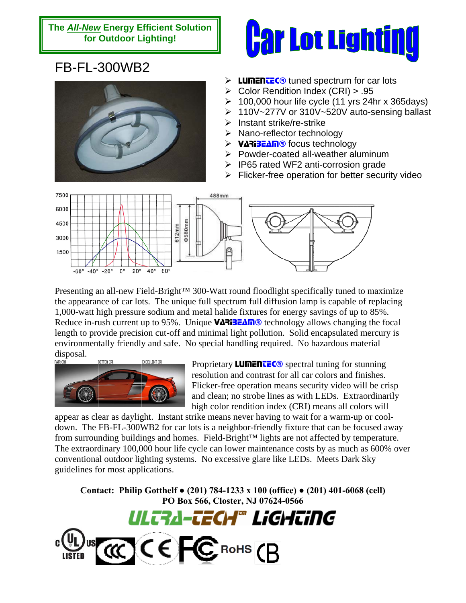## **The** *All-New* **Energy Efficient Solution for Outdoor Lighting!**



## FB-FL-300WB2



- $\triangleright$  Lumentec<sup>®</sup> tuned spectrum for car lots
- $\triangleright$  Color Rendition Index (CRI) > .95
- $\geq 100,000$  hour life cycle (11 yrs 24hr x 365days)
- ¾ 110V~277V or 310V~520V auto-sensing ballast
- $\triangleright$  Instant strike/re-strike
- ¾ Nano-reflector technology
- **EXAME** focus technology
- ¾ Powder-coated all-weather aluminum
- $\triangleright$  IP65 rated WF2 anti-corrosion grade
- $\triangleright$  Flicker-free operation for better security video



Presenting an all-new Field-Bright™ 300-Watt round floodlight specifically tuned to maximize the appearance of car lots. The unique full spectrum full diffusion lamp is capable of replacing 1,000-watt high pressure sodium and metal halide fixtures for energy savings of up to 85%. Reduce in-rush current up to 95%. Unique  $V\Delta$ RiBE $\Delta \Pi$ <sup>®</sup> technology allows changing the focal length to provide precision cut-off and minimal light pollution. Solid encapsulated mercury is environmentally friendly and safe. No special handling required. No hazardous material



Proprietary **LUMENTEC®** spectral tuning for stunning resolution and contrast for all car colors and finishes. Flicker-free operation means security video will be crisp and clean; no strobe lines as with LEDs. Extraordinarily high color rendition index (CRI) means all colors will

appear as clear as daylight. Instant strike means never having to wait for a warm-up or cooldown. The FB-FL-300WB2 for car lots is a neighbor-friendly fixture that can be focused away from surrounding buildings and homes. Field-Bright™ lights are not affected by temperature. The extraordinary 100,000 hour life cycle can lower maintenance costs by as much as 600% over conventional outdoor lighting systems. No excessive glare like LEDs. Meets Dark Sky guidelines for most applications.

**Contact: Philip Gotthelf ● (201) 784-1233 x 100 (office) ● (201) 401-6068 (cell) PO Box 566, Closter, NJ 07624-0566**